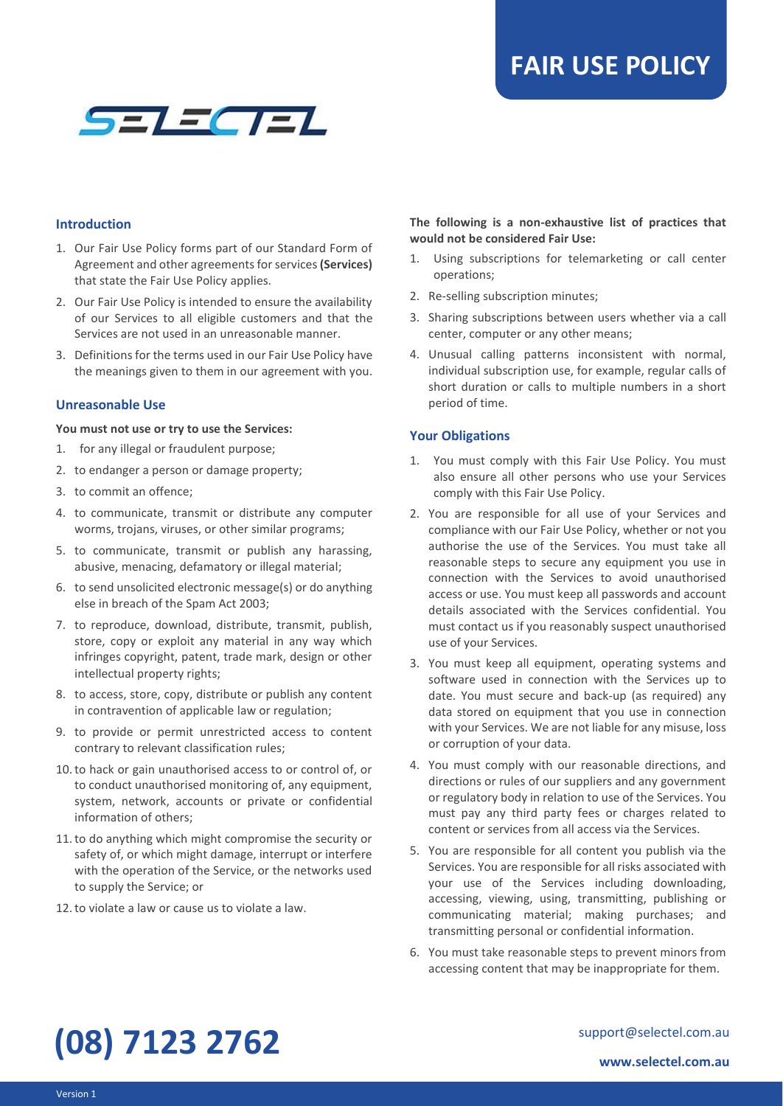

#### **Introduction**

- 1. Our Fair Use Policy forms part of our Standard Form of Agreement and other agreements for services **(Services)** that state the Fair Use Policy applies.
- 2. Our Fair Use Policy is intended to ensure the availability of our Services to all eligible customers and that the Services are not used in an unreasonable manner.
- 3. Definitions for the terms used in our Fair Use Policy have the meanings given to them in our agreement with you.

#### **Unreasonable Use**

#### **You must not use or try to use the Services:**

- 1. for any illegal or fraudulent purpose;
- 2. to endanger a person or damage property;
- 3. to commit an offence;
- 4. to communicate, transmit or distribute any computer worms, trojans, viruses, or other similar programs;
- 5. to communicate, transmit or publish any harassing, abusive, menacing, defamatory or illegal material;
- 6. to send unsolicited electronic message(s) or do anything else in breach of the Spam Act 2003;
- 7. to reproduce, download, distribute, transmit, publish, store, copy or exploit any material in any way which infringes copyright, patent, trade mark, design or other intellectual property rights;
- 8. to access, store, copy, distribute or publish any content in contravention of applicable law or regulation;
- 9. to provide or permit unrestricted access to content contrary to relevant classification rules;
- 10.to hack or gain unauthorised access to or control of, or to conduct unauthorised monitoring of, any equipment, system, network, accounts or private or confidential information of others;
- 11.to do anything which might compromise the security or safety of, or which might damage, interrupt or interfere with the operation of the Service, or the networks used to supply the Service; or
- 12.to violate a law or cause us to violate a law.

### **The following is a non-exhaustive list of practices that would not be considered Fair Use:**

- 1. Using subscriptions for telemarketing or call center operations;
- 2. Re-selling subscription minutes;
- 3. Sharing subscriptions between users whether via a call center, computer or any other means;
- 4. Unusual calling patterns inconsistent with normal, individual subscription use, for example, regular calls of short duration or calls to multiple numbers in a short period of time.

## **Your Obligations**

- 1. You must comply with this Fair Use Policy. You must also ensure all other persons who use your Services comply with this Fair Use Policy.
- 2. You are responsible for all use of your Services and compliance with our Fair Use Policy, whether or not you authorise the use of the Services. You must take all reasonable steps to secure any equipment you use in connection with the Services to avoid unauthorised access or use. You must keep all passwords and account details associated with the Services confidential. You must contact us if you reasonably suspect unauthorised use of your Services.
- 3. You must keep all equipment, operating systems and software used in connection with the Services up to date. You must secure and back-up (as required) any data stored on equipment that you use in connection with your Services. We are not liable for any misuse, loss or corruption of your data.
- 4. You must comply with our reasonable directions, and directions or rules of our suppliers and any government or regulatory body in relation to use of the Services. You must pay any third party fees or charges related to content or services from all access via the Services.
- 5. You are responsible for all content you publish via the Services. You are responsible for all risks associated with your use of the Services including downloading, accessing, viewing, using, transmitting, publishing or communicating material; making purchases; and transmitting personal or confidential information.
- 6. You must take reasonable steps to prevent minors from accessing content that may be inappropriate for them.

# **(08) 7123 2762**

support@selectel.com.au